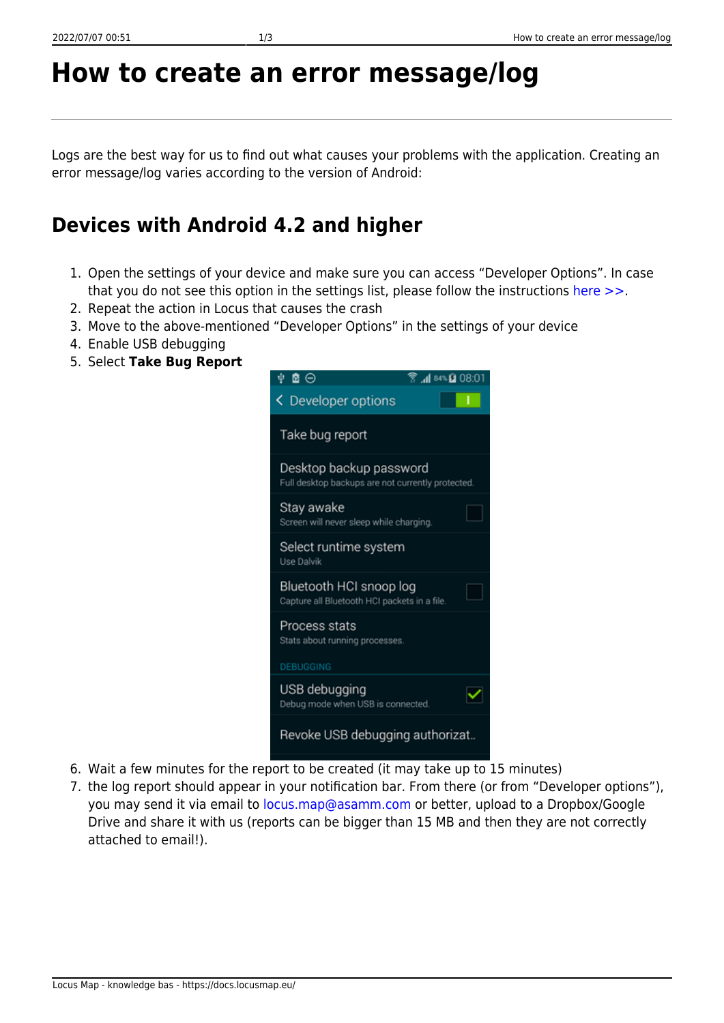# **How to create an error message/log**

Logs are the best way for us to find out what causes your problems with the application. Creating an error message/log varies according to the version of Android:

## **Devices with Android 4.2 and higher**

- 1. Open the settings of your device and make sure you can access "Developer Options". In case that you do not see this option in the settings list, please follow the instructions [here >>.](http://androidcentral.us/2013/11/enable-developers-options-android-4-4-kitkat/)
- 2. Repeat the action in Locus that causes the crash
- 3. Move to the above-mentioned "Developer Options" in the settings of your device
- 4. Enable USB debugging
- 5. Select **Take Bug Report**



- 6. Wait a few minutes for the report to be created (it may take up to 15 minutes)
- 7. the log report should appear in your notification bar. From there (or from "Developer options"), you may send it via email to [locus.map@asamm.com](mailto:locus.map@asamm.com) or better, upload to a Dropbox/Google Drive and share it with us (reports can be bigger than 15 MB and then they are not correctly attached to email!).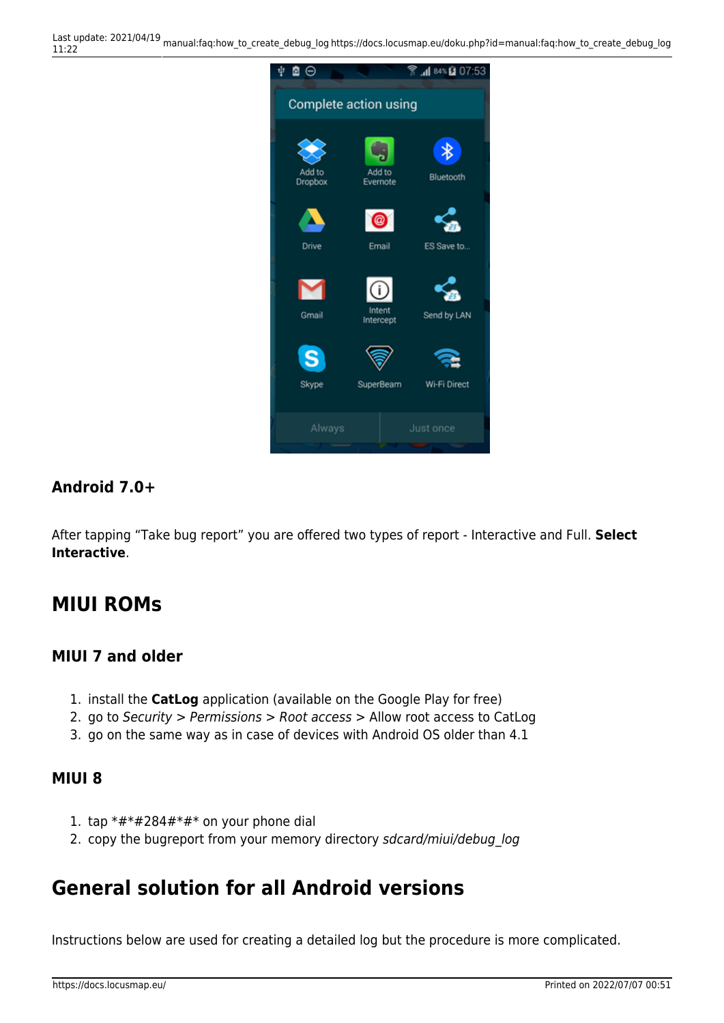Last update: 2021/04/19 11:22 manual:faq:how\_to\_create\_debug\_log https://docs.locusmap.eu/doku.php?id=manual:faq:how\_to\_create\_debug\_log



### **Android 7.0+**

After tapping "Take bug report" you are offered two types of report - Interactive and Full. **Select Interactive**.

## **MIUI ROMs**

#### **MIUI 7 and older**

- 1. install the **CatLog** application (available on the Google Play for free)
- 2. go to Security > Permissions > Root access > Allow root access to CatLog
- 3. go on the same way as in case of devices with Android OS older than 4.1

#### **MIUI 8**

- 1. tap  $*#*#284#*#*$  on your phone dial
- 2. copy the bugreport from your memory directory sdcard/miui/debug log

## **General solution for all Android versions**

Instructions below are used for creating a detailed log but the procedure is more complicated.